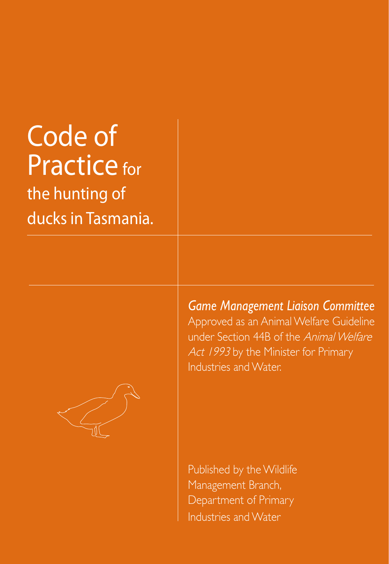# Code of Practice for the hunting of

ducks in Tasmania.



*Game Management Liaison Committee* Approved as an Animal Welfare Guideline under Section 44B of the Animal Welfare Act 1993 by the Minister for Primary Industries and Water.

Published by the Wildlife Management Branch, Department of Primary Industries and Water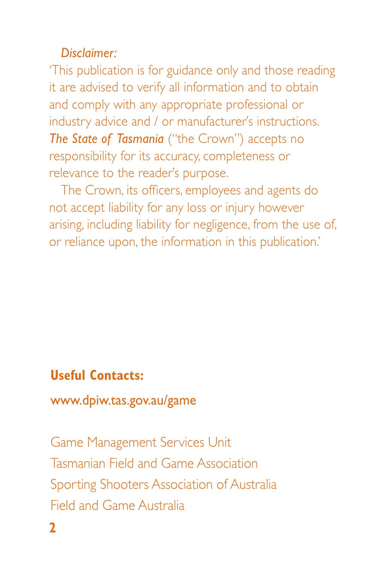#### *Disclaimer:*

'This publication is for guidance only and those reading it are advised to verify all information and to obtain and comply with any appropriate professional or industry advice and / or manufacturer's instructions. *The State of Tasmania* ("the Crown") accepts no responsibility for its accuracy, completeness or relevance to the reader's purpose.

The Crown, its officers, employees and agents do not accept liability for any loss or injury however arising, including liability for negligence, from the use of, or reliance upon, the information in this publication.'

# **Useful Contacts:**

www.dpiw.tas.gov.au/game

Game Management Services Unit Tasmanian Field and Game Association Sporting Shooters Association of Australia Field and Game Australia

 $\mathbf{D}$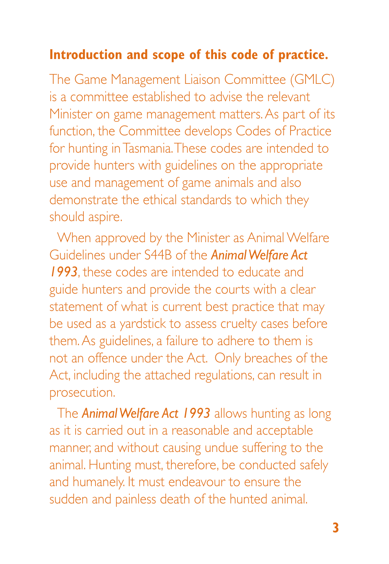## **Introduction and scope of this code of practice.**

The Game Management Liaison Committee (GMLC) is a committee established to advise the relevant Minister on game management matters. As part of its function, the Committee develops Codes of Practice for hunting in Tasmania. These codes are intended to provide hunters with guidelines on the appropriate use and management of game animals and also demonstrate the ethical standards to which they should aspire.

When approved by the Minister as Animal Welfare Guidelines under S44B of the *Animal Welfare Act 1993*, these codes are intended to educate and guide hunters and provide the courts with a clear statement of what is current best practice that may be used as a yardstick to assess cruelty cases before them. As guidelines, a failure to adhere to them is not an offence under the Act. Only breaches of the Act, including the attached regulations, can result in prosecution.

The *Animal Welfare Act 1993* allows hunting as long as it is carried out in a reasonable and acceptable manner, and without causing undue suffering to the animal. Hunting must, therefore, be conducted safely and humanely. It must endeavour to ensure the sudden and painless death of the hunted animal.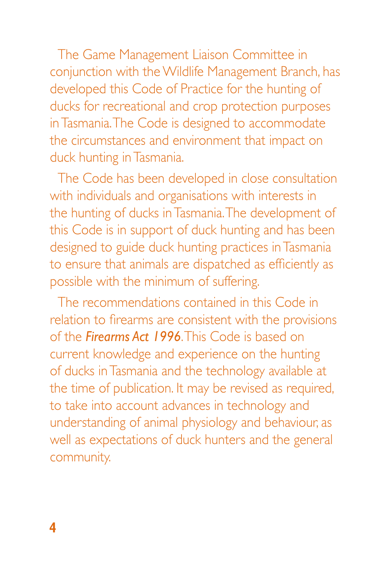The Game Management Liaison Committee in conjunction with the Wildlife Management Branch, has developed this Code of Practice for the hunting of ducks for recreational and crop protection purposes in Tasmania. The Code is designed to accommodate the circumstances and environment that impact on duck hunting in Tasmania.

The Code has been developed in close consultation with individuals and organisations with interests in the hunting of ducks in Tasmania. The development of this Code is in support of duck hunting and has been designed to guide duck hunting practices in Tasmania to ensure that animals are dispatched as efficiently as possible with the minimum of suffering.

The recommendations contained in this Code in relation to firearms are consistent with the provisions of the *Firearms Act 1996*. This Code is based on current knowledge and experience on the hunting of ducks in Tasmania and the technology available at the time of publication. It may be revised as required, to take into account advances in technology and understanding of animal physiology and behaviour, as well as expectations of duck hunters and the general community.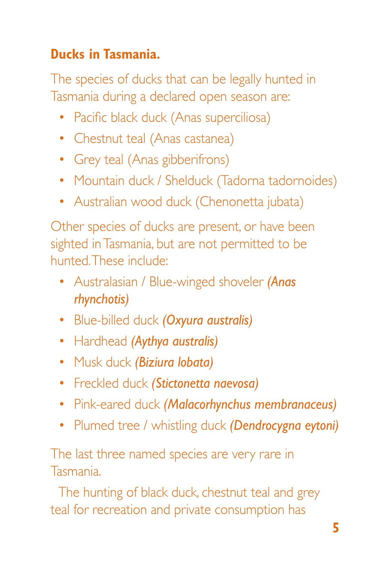# **Ducks in Tasmania.**

The species of ducks that can be legally hunted in Tasmania during a declared open season are:

- Pacific black duck (Anas superciliosa)
- Chestnut teal (Anas castanea)
- Grey teal (Anas gibberifrons)
- Mountain duck / Shelduck (Tadorna tadornoides)
- Australian wood duck (Chenonetta jubata)

Other species of ducks are present, or have been sighted in Tasmania, but are not permitted to be hunted. These include:

- Australasian / Blue-winged shoveler *(Anas rhynchotis)*
- Blue-billed duck *(Oxyura australis)*
- Hardhead *(Aythya australis)*
- Musk duck *(Biziura lobata)*
- Freckled duck *(Stictonetta naevosa)*
- Pink-eared duck *(Malacorhynchus membranaceus)*
- Plumed tree / whistling duck *(Dendrocygna eytoni)*

The last three named species are very rare in Tasmania.

The hunting of black duck, chestnut teal and grey teal for recreation and private consumption has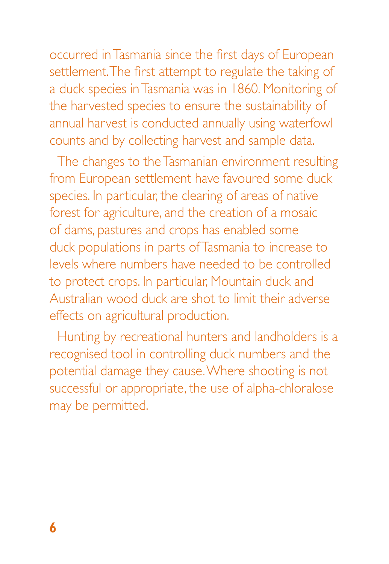occurred in Tasmania since the first days of European settlement. The first attempt to regulate the taking of a duck species in Tasmania was in 1860. Monitoring of the harvested species to ensure the sustainability of annual harvest is conducted annually using waterfowl counts and by collecting harvest and sample data.

The changes to the Tasmanian environment resulting from European settlement have favoured some duck species. In particular, the clearing of areas of native forest for agriculture, and the creation of a mosaic of dams, pastures and crops has enabled some duck populations in parts of Tasmania to increase to levels where numbers have needed to be controlled to protect crops. In particular, Mountain duck and Australian wood duck are shot to limit their adverse effects on agricultural production.

Hunting by recreational hunters and landholders is a recognised tool in controlling duck numbers and the potential damage they cause. Where shooting is not successful or appropriate, the use of alpha-chloralose may be permitted.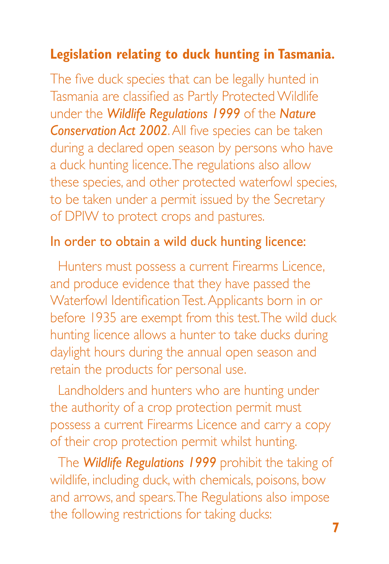## **Legislation relating to duck hunting in Tasmania.**

The five duck species that can be legally hunted in Tasmania are classified as Partly Protected Wildlife under the *Wildlife Regulations 1999* of the *Nature Conservation Act 2002*. All five species can be taken during a declared open season by persons who have a duck hunting licence. The regulations also allow these species, and other protected waterfowl species, to be taken under a permit issued by the Secretary of DPIW to protect crops and pastures.

#### In order to obtain a wild duck hunting licence:

Hunters must possess a current Firearms Licence, and produce evidence that they have passed the Waterfowl Identification Test. Applicants born in or before 1935 are exempt from this test. The wild duck hunting licence allows a hunter to take ducks during daylight hours during the annual open season and retain the products for personal use.

Landholders and hunters who are hunting under the authority of a crop protection permit must possess a current Firearms Licence and carry a copy of their crop protection permit whilst hunting.

The *Wildlife Regulations 1999* prohibit the taking of wildlife, including duck, with chemicals, poisons, bow and arrows, and spears. The Regulations also impose the following restrictions for taking ducks: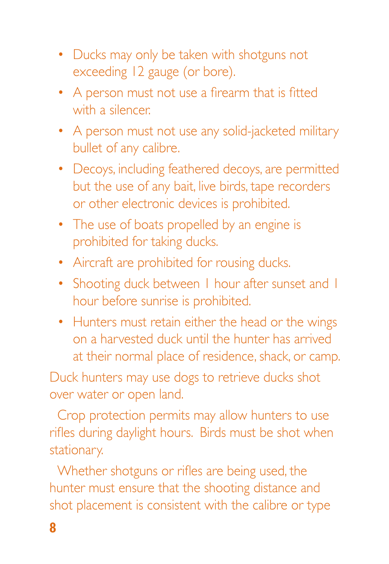- Ducks may only be taken with shotguns not exceeding 12 gauge (or bore).
- A person must not use a firearm that is fitted with a silencer.
- A person must not use any solid-jacketed military bullet of any calibre.
- Decoys, including feathered decoys, are permitted but the use of any bait, live birds, tape recorders or other electronic devices is prohibited.
- The use of boats propelled by an engine is prohibited for taking ducks.
- Aircraft are prohibited for rousing ducks.
- Shooting duck between I hour after sunset and I hour before sunrise is prohibited.
- Hunters must retain either the head or the wings on a harvested duck until the hunter has arrived at their normal place of residence, shack, or camp.

Duck hunters may use dogs to retrieve ducks shot over water or open land.

Crop protection permits may allow hunters to use rifles during daylight hours. Birds must be shot when stationary.

Whether shotguns or rifles are being used, the hunter must ensure that the shooting distance and shot placement is consistent with the calibre or type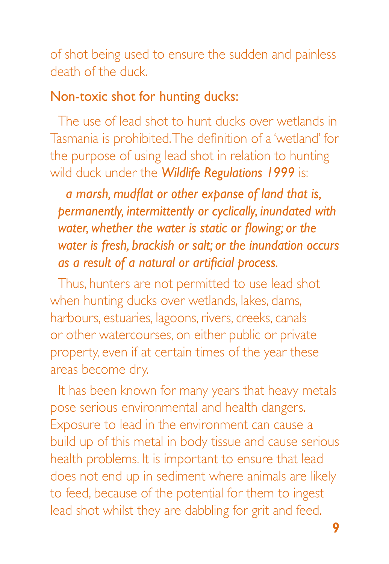of shot being used to ensure the sudden and painless death of the duck.

#### Non-toxic shot for hunting ducks:

The use of lead shot to hunt ducks over wetlands in Tasmania is prohibited. The definition of a 'wetland' for the purpose of using lead shot in relation to hunting wild duck under the *Wildlife Regulations 1999* is:

*a marsh, mudflat or other expanse of land that is, permanently, intermittently or cyclically, inundated with water, whether the water is static or flowing; or the water is fresh, brackish or salt; or the inundation occurs as a result of a natural or artificial process*.

Thus, hunters are not permitted to use lead shot when hunting ducks over wetlands, lakes, dams, harbours, estuaries, lagoons, rivers, creeks, canals or other watercourses, on either public or private property, even if at certain times of the year these areas become dry.

It has been known for many years that heavy metals pose serious environmental and health dangers. Exposure to lead in the environment can cause a build up of this metal in body tissue and cause serious health problems. It is important to ensure that lead does not end up in sediment where animals are likely to feed, because of the potential for them to ingest lead shot whilst they are dabbling for grit and feed.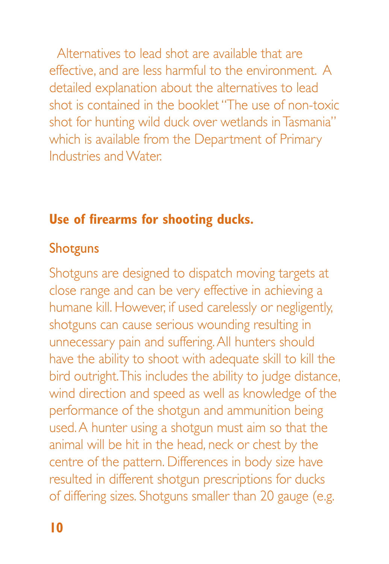Alternatives to lead shot are available that are effective, and are less harmful to the environment. A detailed explanation about the alternatives to lead shot is contained in the booklet "The use of non-toxic shot for hunting wild duck over wetlands in Tasmania" which is available from the Department of Primary Industries and Water.

# **Use of firearms for shooting ducks.**

#### Shotguns

Shotguns are designed to dispatch moving targets at close range and can be very effective in achieving a humane kill. However, if used carelessly or negligently, shotguns can cause serious wounding resulting in unnecessary pain and suffering. All hunters should have the ability to shoot with adequate skill to kill the bird outright. This includes the ability to judge distance, wind direction and speed as well as knowledge of the performance of the shotgun and ammunition being used. A hunter using a shotgun must aim so that the animal will be hit in the head, neck or chest by the centre of the pattern. Differences in body size have resulted in different shotgun prescriptions for ducks of differing sizes. Shotguns smaller than 20 gauge (e.g.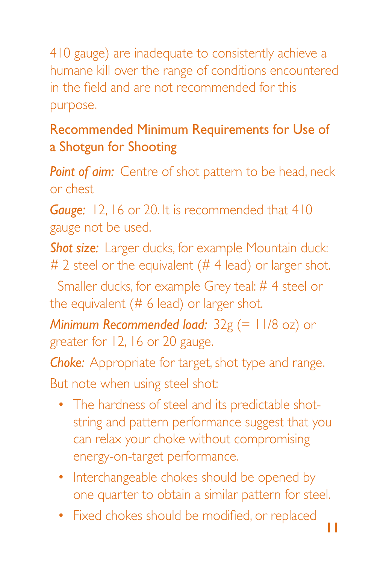410 gauge) are inadequate to consistently achieve a humane kill over the range of conditions encountered in the field and are not recommended for this purpose.

# Recommended Minimum Requirements for Use of a Shotgun for Shooting

**Point of aim:** Centre of shot pattern to be head, neck or chest

*Gauge:* 12, 16 or 20. It is recommended that 410 gauge not be used.

**Shot size:** Larger ducks, for example Mountain duck: # 2 steel or the equivalent (# 4 lead) or larger shot.

Smaller ducks, for example Grey teal: # 4 steel or the equivalent (# 6 lead) or larger shot.

*Minimum Recommended load:* 32g (= 11/8 oz) or greater for 12, 16 or 20 gauge.

*Choke:* Appropriate for target, shot type and range.

But note when using steel shot:

- The hardness of steel and its predictable shotstring and pattern performance suggest that you can relax your choke without compromising energy-on-target performance.
- Interchangeable chokes should be opened by one quarter to obtain a similar pattern for steel.
- Fixed chokes should be modified, or replaced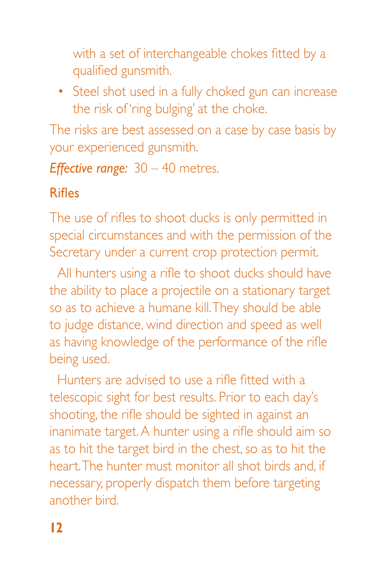with a set of interchangeable chokes fitted by a qualified gunsmith.

• Steel shot used in a fully choked gun can increase the risk of 'ring bulging' at the choke.

The risks are best assessed on a case by case basis by your experienced gunsmith.

*Effective range:* 30 – 40 metres.

# Rifles

The use of rifles to shoot ducks is only permitted in special circumstances and with the permission of the Secretary under a current crop protection permit.

All hunters using a rifle to shoot ducks should have the ability to place a projectile on a stationary target so as to achieve a humane kill. They should be able to judge distance, wind direction and speed as well as having knowledge of the performance of the rifle being used.

Hunters are advised to use a rifle fitted with a telescopic sight for best results. Prior to each day's shooting, the rifle should be sighted in against an inanimate target. A hunter using a rifle should aim so as to hit the target bird in the chest, so as to hit the heart. The hunter must monitor all shot birds and, if necessary, properly dispatch them before targeting another bird.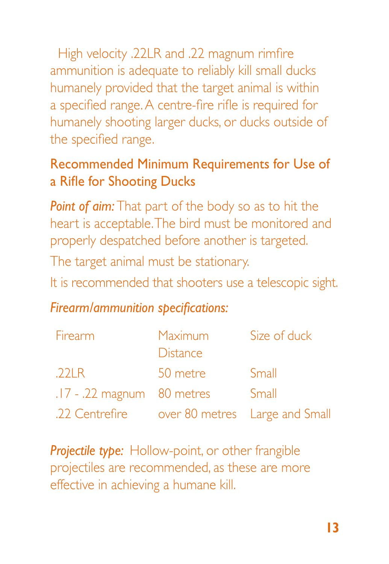High velocity .22LR and .22 magnum rimfire ammunition is adequate to reliably kill small ducks humanely provided that the target animal is within a specified range. A centre-fire rifle is required for humanely shooting larger ducks, or ducks outside of the specified range.

# Recommended Minimum Requirements for Use of a Rifle for Shooting Ducks

*Point of aim:* That part of the body so as to hit the heart is acceptable. The bird must be monitored and properly despatched before another is targeted. The target animal must be stationary.

It is recommended that shooters use a telescopic sight.

# *Firearm/ammunition specifications:*

| <b>Firearm</b>                                | <b>Maximum</b><br><b>Distance</b> | Size of duck |
|-----------------------------------------------|-----------------------------------|--------------|
| 221R                                          | 50 metre                          | Small        |
| $.17 - .22$ magnum 80 metres                  |                                   | Small        |
| .22 Centrefire over 80 metres Large and Small |                                   |              |

*Projectile type:* Hollow-point, or other frangible projectiles are recommended, as these are more effective in achieving a humane kill.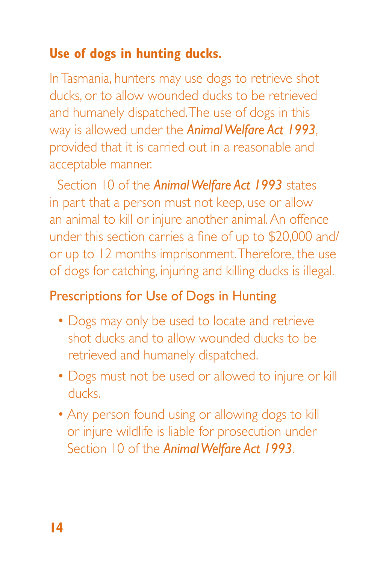# **Use of dogs in hunting ducks.**

In Tasmania, hunters may use dogs to retrieve shot ducks, or to allow wounded ducks to be retrieved and humanely dispatched. The use of dogs in this way is allowed under the *Animal Welfare Act 1993*, provided that it is carried out in a reasonable and acceptable manner.

Section 10 of the *Animal Welfare Act 1993* states in part that a person must not keep, use or allow an animal to kill or injure another animal. An offence under this section carries a fine of up to \$20,000 and/ or up to 12 months imprisonment. Therefore, the use of dogs for catching, injuring and killing ducks is illegal.

# Prescriptions for Use of Dogs in Hunting

- Dogs may only be used to locate and retrieve shot ducks and to allow wounded ducks to be retrieved and humanely dispatched.
- Dogs must not be used or allowed to injure or kill ducks.
- Any person found using or allowing dogs to kill or injure wildlife is liable for prosecution under Section 10 of the *Animal Welfare Act 1993*.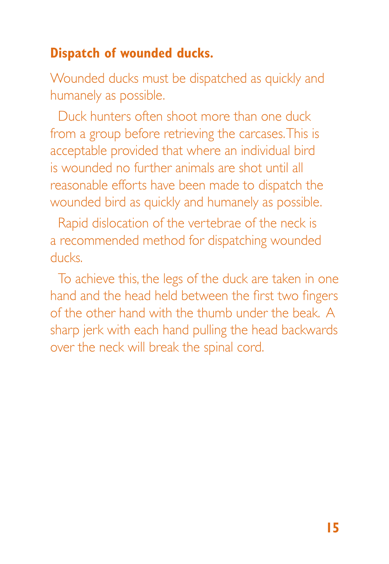## **Dispatch of wounded ducks.**

Wounded ducks must be dispatched as quickly and humanely as possible.

Duck hunters often shoot more than one duck from a group before retrieving the carcases. This is acceptable provided that where an individual bird is wounded no further animals are shot until all reasonable efforts have been made to dispatch the wounded bird as quickly and humanely as possible.

Rapid dislocation of the vertebrae of the neck is a recommended method for dispatching wounded ducks.

To achieve this, the legs of the duck are taken in one hand and the head held between the first two fingers of the other hand with the thumb under the beak. A sharp jerk with each hand pulling the head backwards over the neck will break the spinal cord.